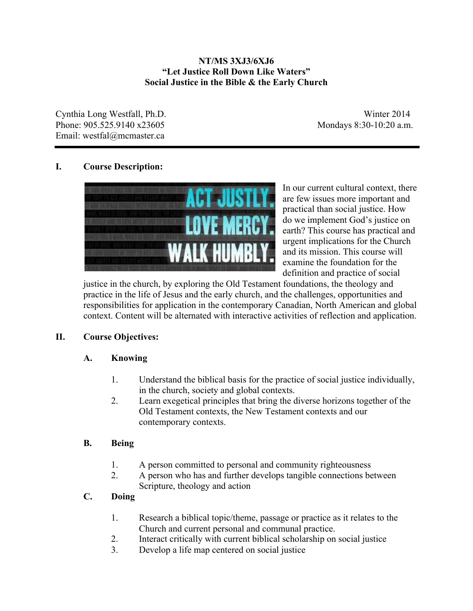## **NT/MS 3XJ3/6XJ6 "Let Justice Roll Down Like Waters" Social Justice in the Bible & the Early Church**

Cynthia Long Westfall, Ph.D. Winter 2014 Phone: 905.525.9140 x23605 Mondays 8:30-10:20 a.m. Email: westfal@mcmaster.ca

## **I. Course Description:**



In our current cultural context, there are few issues more important and practical than social justice. How do we implement God's justice on earth? This course has practical and urgent implications for the Church and its mission. This course will examine the foundation for the definition and practice of social

justice in the church, by exploring the Old Testament foundations, the theology and practice in the life of Jesus and the early church, and the challenges, opportunities and responsibilities for application in the contemporary Canadian, North American and global context. Content will be alternated with interactive activities of reflection and application.

## **II. Course Objectives:**

## **A. Knowing**

- 1. Understand the biblical basis for the practice of social justice individually, in the church, society and global contexts.
- 2. Learn exegetical principles that bring the diverse horizons together of the Old Testament contexts, the New Testament contexts and our contemporary contexts.

## **B. Being**

- 1. A person committed to personal and community righteousness
- 2. A person who has and further develops tangible connections between Scripture, theology and action

# **C. Doing**

- 1. Research a biblical topic/theme, passage or practice as it relates to the Church and current personal and communal practice.
- 2. Interact critically with current biblical scholarship on social justice
- 3. Develop a life map centered on social justice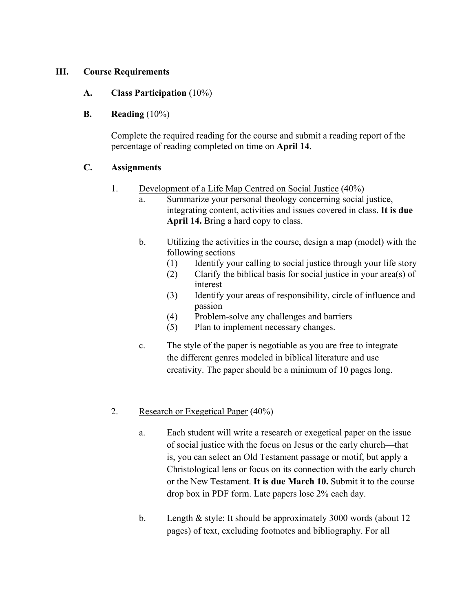## **III. Course Requirements**

## **A. Class Participation** (10%)

## **B. Reading** (10%)

Complete the required reading for the course and submit a reading report of the percentage of reading completed on time on **April 14**.

## **C. Assignments**

- 1. Development of a Life Map Centred on Social Justice (40%)
	- a. Summarize your personal theology concerning social justice, integrating content, activities and issues covered in class. **It is due April 14.** Bring a hard copy to class.
	- b. Utilizing the activities in the course, design a map (model) with the following sections
		- (1) Identify your calling to social justice through your life story
		- (2) Clarify the biblical basis for social justice in your area(s) of interest
		- (3) Identify your areas of responsibility, circle of influence and passion
		- (4) Problem-solve any challenges and barriers
		- (5) Plan to implement necessary changes.
	- c. The style of the paper is negotiable as you are free to integrate the different genres modeled in biblical literature and use creativity. The paper should be a minimum of 10 pages long.

## 2. Research or Exegetical Paper (40%)

- a. Each student will write a research or exegetical paper on the issue of social justice with the focus on Jesus or the early church—that is, you can select an Old Testament passage or motif, but apply a Christological lens or focus on its connection with the early church or the New Testament. **It is due March 10.** Submit it to the course drop box in PDF form. Late papers lose 2% each day.
- b. Length & style: It should be approximately 3000 words (about 12 pages) of text, excluding footnotes and bibliography. For all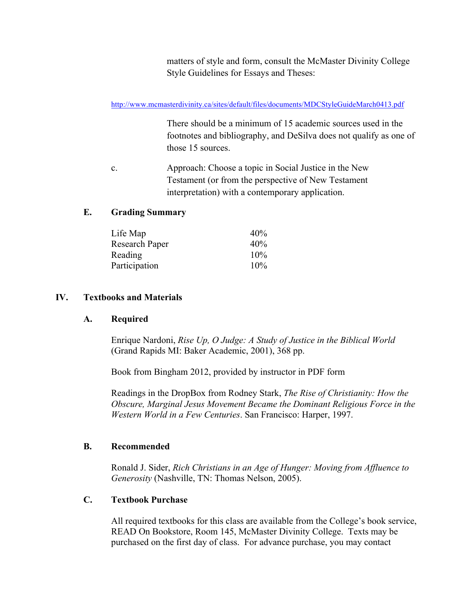matters of style and form, consult the McMaster Divinity College Style Guidelines for Essays and Theses:

http://www.mcmasterdivinity.ca/sites/default/files/documents/MDCStyleGuideMarch0413.pdf

There should be a minimum of 15 academic sources used in the footnotes and bibliography, and DeSilva does not qualify as one of those 15 sources.

c. Approach: Choose a topic in Social Justice in the New Testament (or from the perspective of New Testament interpretation) with a contemporary application.

## **E. Grading Summary**

| Life Map       | 40%    |
|----------------|--------|
| Research Paper | 40%    |
| <b>Reading</b> | 10%    |
| Participation  | $10\%$ |

## **IV. Textbooks and Materials**

#### **A. Required**

Enrique Nardoni, *Rise Up, O Judge: A Study of Justice in the Biblical World* (Grand Rapids MI: Baker Academic, 2001), 368 pp.

Book from Bingham 2012, provided by instructor in PDF form

Readings in the DropBox from Rodney Stark, *The Rise of Christianity: How the Obscure, Marginal Jesus Movement Became the Dominant Religious Force in the Western World in a Few Centuries*. San Francisco: Harper, 1997.

#### **B. Recommended**

Ronald J. Sider, *Rich Christians in an Age of Hunger: Moving from Affluence to Generosity* (Nashville, TN: Thomas Nelson, 2005).

#### **C. Textbook Purchase**

All required textbooks for this class are available from the College's book service, READ On Bookstore, Room 145, McMaster Divinity College. Texts may be purchased on the first day of class. For advance purchase, you may contact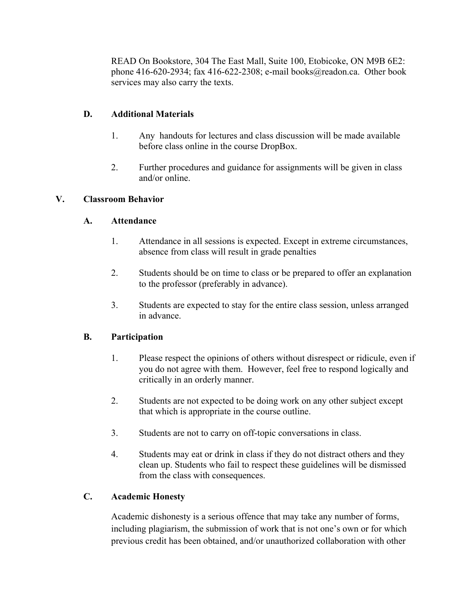READ On Bookstore, 304 The East Mall, Suite 100, Etobicoke, ON M9B 6E2: phone 416-620-2934; fax 416-622-2308; e-mail books@readon.ca. Other book services may also carry the texts.

## **D. Additional Materials**

- 1. Any handouts for lectures and class discussion will be made available before class online in the course DropBox.
- 2. Further procedures and guidance for assignments will be given in class and/or online.

## **V. Classroom Behavior**

## **A. Attendance**

- 1. Attendance in all sessions is expected. Except in extreme circumstances, absence from class will result in grade penalties
- 2. Students should be on time to class or be prepared to offer an explanation to the professor (preferably in advance).
- 3. Students are expected to stay for the entire class session, unless arranged in advance.

# **B. Participation**

- 1. Please respect the opinions of others without disrespect or ridicule, even if you do not agree with them. However, feel free to respond logically and critically in an orderly manner.
- 2. Students are not expected to be doing work on any other subject except that which is appropriate in the course outline.
- 3. Students are not to carry on off-topic conversations in class.
- 4. Students may eat or drink in class if they do not distract others and they clean up. Students who fail to respect these guidelines will be dismissed from the class with consequences.

# **C. Academic Honesty**

Academic dishonesty is a serious offence that may take any number of forms, including plagiarism, the submission of work that is not one's own or for which previous credit has been obtained, and/or unauthorized collaboration with other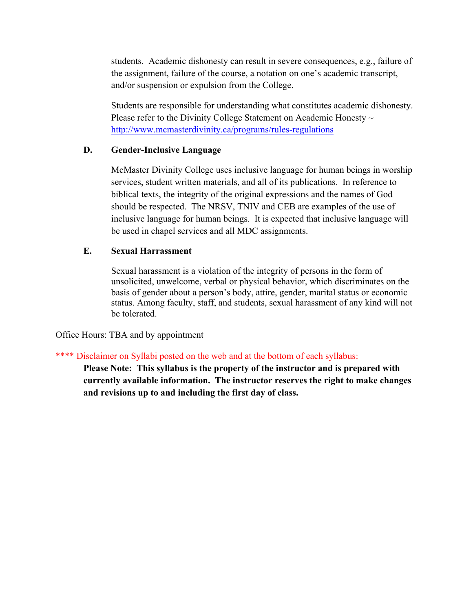students. Academic dishonesty can result in severe consequences, e.g., failure of the assignment, failure of the course, a notation on one's academic transcript, and/or suspension or expulsion from the College.

Students are responsible for understanding what constitutes academic dishonesty. Please refer to the Divinity College Statement on Academic Honesty  $\sim$ http://www.mcmasterdivinity.ca/programs/rules-regulations

#### **D. Gender-Inclusive Language**

McMaster Divinity College uses inclusive language for human beings in worship services, student written materials, and all of its publications. In reference to biblical texts, the integrity of the original expressions and the names of God should be respected. The NRSV, TNIV and CEB are examples of the use of inclusive language for human beings. It is expected that inclusive language will be used in chapel services and all MDC assignments.

## **E. Sexual Harrassment**

Sexual harassment is a violation of the integrity of persons in the form of unsolicited, unwelcome, verbal or physical behavior, which discriminates on the basis of gender about a person's body, attire, gender, marital status or economic status. Among faculty, staff, and students, sexual harassment of any kind will not be tolerated.

Office Hours: TBA and by appointment

## \*\*\*\* Disclaimer on Syllabi posted on the web and at the bottom of each syllabus:

**Please Note: This syllabus is the property of the instructor and is prepared with currently available information. The instructor reserves the right to make changes and revisions up to and including the first day of class.**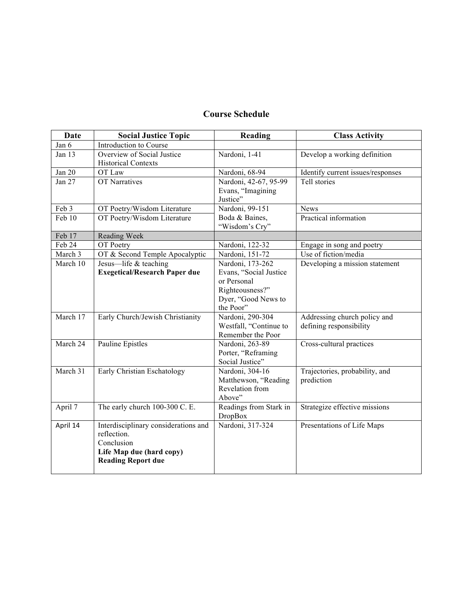# **Course Schedule**

| <b>Date</b> | <b>Social Justice Topic</b>                                                                                                | Reading                                                                                                          | <b>Class Activity</b>                                   |
|-------------|----------------------------------------------------------------------------------------------------------------------------|------------------------------------------------------------------------------------------------------------------|---------------------------------------------------------|
| Jan 6       | Introduction to Course                                                                                                     |                                                                                                                  |                                                         |
| Jan 13      | Overview of Social Justice<br><b>Historical Contexts</b>                                                                   | Nardoni, 1-41                                                                                                    | Develop a working definition                            |
| Jan 20      | OT Law                                                                                                                     | Nardoni, 68-94                                                                                                   | Identify current issues/responses                       |
| Jan 27      | <b>OT Narratives</b>                                                                                                       | Nardoni, 42-67, 95-99<br>Evans, "Imagining<br>Justice"                                                           | Tell stories                                            |
| Feb 3       | OT Poetry/Wisdom Literature                                                                                                | Nardoni, 99-151                                                                                                  | <b>News</b>                                             |
| Feb 10      | OT Poetry/Wisdom Literature                                                                                                | Boda & Baines,<br>"Wisdom's Cry"                                                                                 | Practical information                                   |
| Feb 17      | Reading Week                                                                                                               |                                                                                                                  |                                                         |
| Feb 24      | OT Poetry                                                                                                                  | Nardoni, 122-32                                                                                                  | Engage in song and poetry                               |
| March 3     | OT & Second Temple Apocalyptic                                                                                             | Nardoni, 151-72                                                                                                  | Use of fiction/media                                    |
| March 10    | Jesus-life & teaching<br><b>Exegetical/Research Paper due</b>                                                              | Nardoni, 173-262<br>Evans, "Social Justice<br>or Personal<br>Righteousness?"<br>Dyer, "Good News to<br>the Poor" | Developing a mission statement                          |
| March 17    | Early Church/Jewish Christianity                                                                                           | Nardoni, 290-304<br>Westfall, "Continue to<br>Remember the Poor                                                  | Addressing church policy and<br>defining responsibility |
| March 24    | Pauline Epistles                                                                                                           | Nardoni, 263-89<br>Porter, "Reframing<br>Social Justice"                                                         | Cross-cultural practices                                |
| March 31    | Early Christian Eschatology                                                                                                | Nardoni, 304-16<br>Matthewson, "Reading<br>Revelation from<br>Above"                                             | Trajectories, probability, and<br>prediction            |
| April 7     | The early church 100-300 C. E.                                                                                             | Readings from Stark in<br><b>DropBox</b>                                                                         | Strategize effective missions                           |
| April 14    | Interdisciplinary considerations and<br>reflection.<br>Conclusion<br>Life Map due (hard copy)<br><b>Reading Report due</b> | Nardoni, 317-324                                                                                                 | Presentations of Life Maps                              |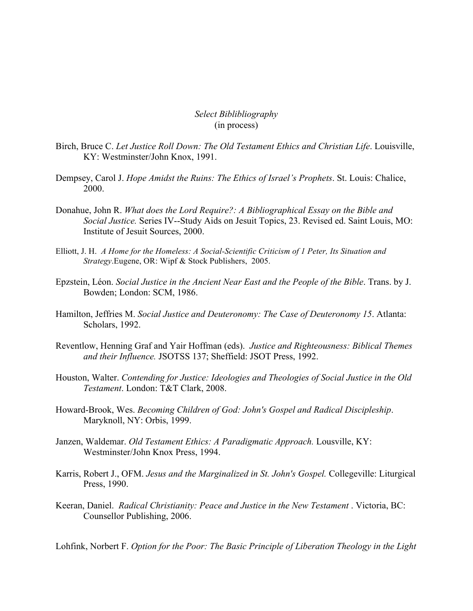*Select Biblibliography* (in process)

- Birch, Bruce C. *Let Justice Roll Down: The Old Testament Ethics and Christian Life*. Louisville, KY: Westminster/John Knox, 1991.
- Dempsey, Carol J. *Hope Amidst the Ruins: The Ethics of Israel's Prophets*. St. Louis: Chalice, 2000.
- Donahue, John R. *What does the Lord Require?: A Bibliographical Essay on the Bible and Social Justice.* Series IV--Study Aids on Jesuit Topics, 23. Revised ed. Saint Louis, MO: Institute of Jesuit Sources, 2000.
- Elliott, J. H. *A Home for the Homeless: A Social-Scientific Criticism of 1 Peter, Its Situation and Strategy*.Eugene, OR: Wipf & Stock Publishers, 2005.
- Epzstein, Léon. *Social Justice in the Ancient Near East and the People of the Bible*. Trans. by J. Bowden; London: SCM, 1986.
- Hamilton, Jeffries M. *Social Justice and Deuteronomy: The Case of Deuteronomy 15*. Atlanta: Scholars, 1992.
- Reventlow, Henning Graf and Yair Hoffman (eds). *Justice and Righteousness: Biblical Themes and their Influence.* JSOTSS 137; Sheffield: JSOT Press, 1992.
- Houston, Walter. *Contending for Justice: Ideologies and Theologies of Social Justice in the Old Testament*. London: T&T Clark, 2008.
- Howard-Brook, Wes. *Becoming Children of God: John's Gospel and Radical Discipleship*. Maryknoll, NY: Orbis, 1999.
- Janzen, Waldemar. *Old Testament Ethics: A Paradigmatic Approach.* Lousville, KY: Westminster/John Knox Press, 1994.
- Karris, Robert J., OFM. *Jesus and the Marginalized in St. John's Gospel.* Collegeville: Liturgical Press, 1990.
- Keeran, Daniel. *Radical Christianity: Peace and Justice in the New Testament* . Victoria, BC: Counsellor Publishing, 2006.

Lohfink, Norbert F. *Option for the Poor: The Basic Principle of Liberation Theology in the Light*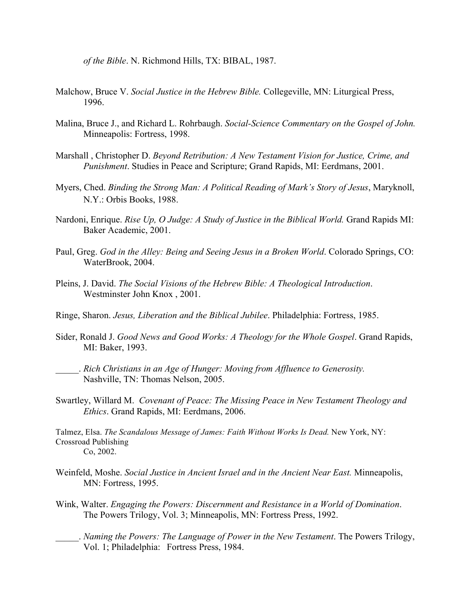*of the Bible*. N. Richmond Hills, TX: BIBAL, 1987.

- Malchow, Bruce V. *Social Justice in the Hebrew Bible.* Collegeville, MN: Liturgical Press, 1996.
- Malina, Bruce J., and Richard L. Rohrbaugh. *Social-Science Commentary on the Gospel of John.* Minneapolis: Fortress, 1998.
- Marshall , Christopher D. *Beyond Retribution: A New Testament Vision for Justice, Crime, and Punishment*. Studies in Peace and Scripture; Grand Rapids, MI: Eerdmans, 2001.
- Myers, Ched. *Binding the Strong Man: A Political Reading of Mark's Story of Jesus*, Maryknoll, N.Y.: Orbis Books, 1988.
- Nardoni, Enrique. *Rise Up, O Judge: A Study of Justice in the Biblical World.* Grand Rapids MI: Baker Academic, 2001.
- Paul, Greg. *God in the Alley: Being and Seeing Jesus in a Broken World*. Colorado Springs, CO: WaterBrook, 2004.
- Pleins, J. David. *The Social Visions of the Hebrew Bible: A Theological Introduction*. Westminster John Knox , 2001.
- Ringe, Sharon. *Jesus, Liberation and the Biblical Jubilee*. Philadelphia: Fortress, 1985.
- Sider, Ronald J. *Good News and Good Works: A Theology for the Whole Gospel*. Grand Rapids, MI: Baker, 1993.
- \_\_\_\_\_. *Rich Christians in an Age of Hunger: Moving from Affluence to Generosity.* Nashville, TN: Thomas Nelson, 2005.
- Swartley, Willard M. *Covenant of Peace: The Missing Peace in New Testament Theology and Ethics*. Grand Rapids, MI: Eerdmans, 2006.

Talmez, Elsa. *The Scandalous Message of James: Faith Without Works Is Dead.* New York, NY: Crossroad Publishing Co, 2002.

- Weinfeld, Moshe. *Social Justice in Ancient Israel and in the Ancient Near East.* Minneapolis, MN: Fortress, 1995.
- Wink, Walter. *Engaging the Powers: Discernment and Resistance in a World of Domination*. The Powers Trilogy, Vol. 3; Minneapolis, MN: Fortress Press, 1992.
	- \_\_\_\_\_. *Naming the Powers: The Language of Power in the New Testament*. The Powers Trilogy, Vol. 1; Philadelphia: Fortress Press, 1984.